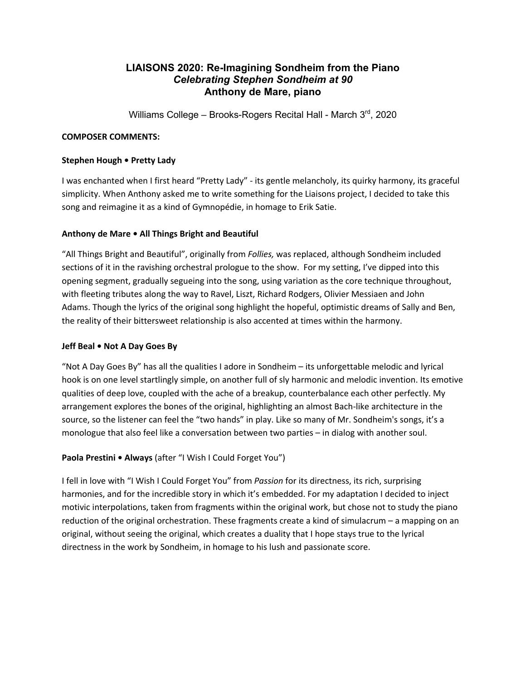# **LIAISONS 2020: Re-Imagining Sondheim from the Piano** *Celebrating Stephen Sondheim at 90* **Anthony de Mare, piano**

Williams College - Brooks-Rogers Recital Hall - March 3rd, 2020

### **COMPOSER COMMENTS:**

### **Stephen Hough • Pretty Lady**

I was enchanted when I first heard "Pretty Lady" - its gentle melancholy, its quirky harmony, its graceful simplicity. When Anthony asked me to write something for the Liaisons project, I decided to take this song and reimagine it as a kind of Gymnopédie, in homage to Erik Satie.

# **Anthony de Mare • All Things Bright and Beautiful**

"All Things Bright and Beautiful", originally from *Follies,* was replaced, although Sondheim included sections of it in the ravishing orchestral prologue to the show. For my setting, I've dipped into this opening segment, gradually segueing into the song, using variation as the core technique throughout, with fleeting tributes along the way to Ravel, Liszt, Richard Rodgers, Olivier Messiaen and John Adams. Though the lyrics of the original song highlight the hopeful, optimistic dreams of Sally and Ben, the reality of their bittersweet relationship is also accented at times within the harmony.

### **Jeff Beal • Not A Day Goes By**

"Not A Day Goes By" has all the qualities I adore in Sondheim – its unforgettable melodic and lyrical hook is on one level startlingly simple, on another full of sly harmonic and melodic invention. Its emotive qualities of deep love, coupled with the ache of a breakup, counterbalance each other perfectly. My arrangement explores the bones of the original, highlighting an almost Bach-like architecture in the source, so the listener can feel the "two hands" in play. Like so many of Mr. Sondheim's songs, it's a monologue that also feel like a conversation between two parties – in dialog with another soul.

# **Paola Prestini • Always** (after "I Wish I Could Forget You")

I fell in love with "I Wish I Could Forget You" from *Passion* for its directness, its rich, surprising harmonies, and for the incredible story in which it's embedded. For my adaptation I decided to inject motivic interpolations, taken from fragments within the original work, but chose not to study the piano reduction of the original orchestration. These fragments create a kind of simulacrum – a mapping on an original, without seeing the original, which creates a duality that I hope stays true to the lyrical directness in the work by Sondheim, in homage to his lush and passionate score.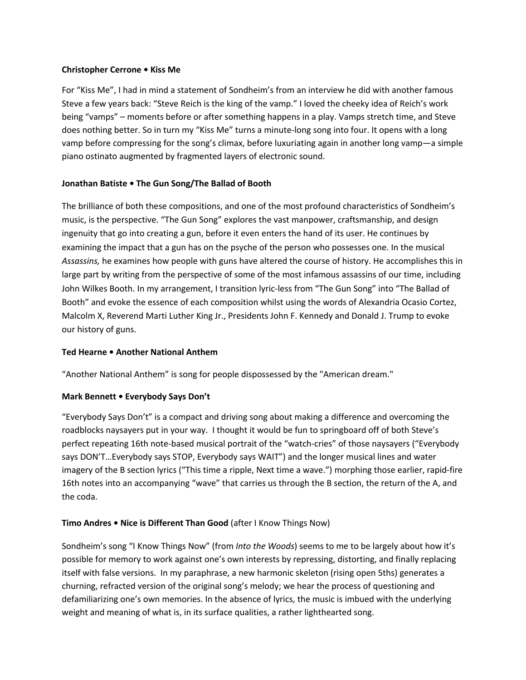#### **Christopher Cerrone • Kiss Me**

For "Kiss Me", I had in mind a statement of Sondheim's from an interview he did with another famous Steve a few years back: "Steve Reich is the king of the vamp." I loved the cheeky idea of Reich's work being "vamps" – moments before or after something happens in a play. Vamps stretch time, and Steve does nothing better. So in turn my "Kiss Me" turns a minute-long song into four. It opens with a long vamp before compressing for the song's climax, before luxuriating again in another long vamp—a simple piano ostinato augmented by fragmented layers of electronic sound.

# **Jonathan Batiste • The Gun Song/The Ballad of Booth**

The brilliance of both these compositions, and one of the most profound characteristics of Sondheim's music, is the perspective. "The Gun Song" explores the vast manpower, craftsmanship, and design ingenuity that go into creating a gun, before it even enters the hand of its user. He continues by examining the impact that a gun has on the psyche of the person who possesses one. In the musical *Assassins,* he examines how people with guns have altered the course of history. He accomplishes this in large part by writing from the perspective of some of the most infamous assassins of our time, including John Wilkes Booth. In my arrangement, I transition lyric-less from "The Gun Song" into "The Ballad of Booth" and evoke the essence of each composition whilst using the words of Alexandria Ocasio Cortez, Malcolm X, Reverend Marti Luther King Jr., Presidents John F. Kennedy and Donald J. Trump to evoke our history of guns.

### **Ted Hearne • Another National Anthem**

"Another National Anthem" is song for people dispossessed by the "American dream."

### **Mark Bennett • Everybody Says Don't**

"Everybody Says Don't" is a compact and driving song about making a difference and overcoming the roadblocks naysayers put in your way. I thought it would be fun to springboard off of both Steve's perfect repeating 16th note-based musical portrait of the "watch-cries" of those naysayers ("Everybody says DON'T…Everybody says STOP, Everybody says WAIT") and the longer musical lines and water imagery of the B section lyrics ("This time a ripple, Next time a wave.") morphing those earlier, rapid-fire 16th notes into an accompanying "wave" that carries us through the B section, the return of the A, and the coda.

# **Timo Andres • Nice is Different Than Good** (after I Know Things Now)

Sondheim's song "I Know Things Now" (from *Into the Woods*) seems to me to be largely about how it's possible for memory to work against one's own interests by repressing, distorting, and finally replacing itself with false versions. In my paraphrase, a new harmonic skeleton (rising open 5ths) generates a churning, refracted version of the original song's melody; we hear the process of questioning and defamiliarizing one's own memories. In the absence of lyrics, the music is imbued with the underlying weight and meaning of what is, in its surface qualities, a rather lighthearted song.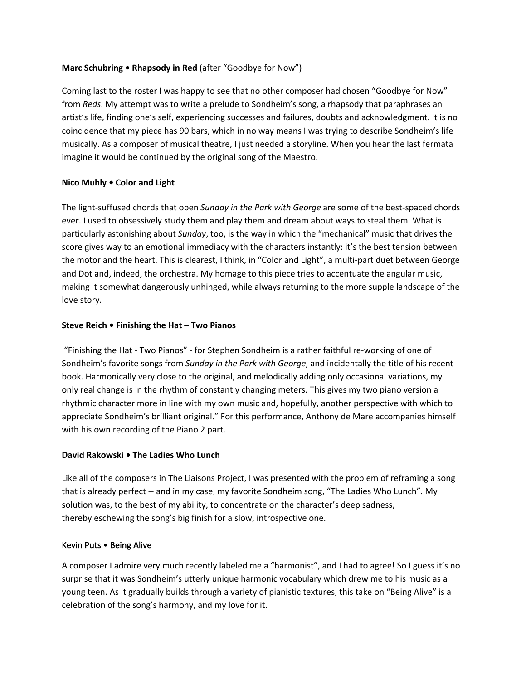### **Marc Schubring • Rhapsody in Red** (after "Goodbye for Now")

Coming last to the roster I was happy to see that no other composer had chosen "Goodbye for Now" from *Reds*. My attempt was to write a prelude to Sondheim's song, a rhapsody that paraphrases an artist's life, finding one's self, experiencing successes and failures, doubts and acknowledgment. It is no coincidence that my piece has 90 bars, which in no way means I was trying to describe Sondheim's life musically. As a composer of musical theatre, I just needed a storyline. When you hear the last fermata imagine it would be continued by the original song of the Maestro.

# **Nico Muhly • Color and Light**

The light-suffused chords that open *Sunday in the Park with George* are some of the best-spaced chords ever. I used to obsessively study them and play them and dream about ways to steal them. What is particularly astonishing about *Sunday*, too, is the way in which the "mechanical" music that drives the score gives way to an emotional immediacy with the characters instantly: it's the best tension between the motor and the heart. This is clearest, I think, in "Color and Light", a multi-part duet between George and Dot and, indeed, the orchestra. My homage to this piece tries to accentuate the angular music, making it somewhat dangerously unhinged, while always returning to the more supple landscape of the love story.

# **Steve Reich • Finishing the Hat – Two Pianos**

"Finishing the Hat - Two Pianos" - for Stephen Sondheim is a rather faithful re-working of one of Sondheim's favorite songs from *Sunday in the Park with George*, and incidentally the title of his recent book. Harmonically very close to the original, and melodically adding only occasional variations, my only real change is in the rhythm of constantly changing meters. This gives my two piano version a rhythmic character more in line with my own music and, hopefully, another perspective with which to appreciate Sondheim's brilliant original." For this performance, Anthony de Mare accompanies himself with his own recording of the Piano 2 part.

### **David Rakowski • The Ladies Who Lunch**

Like all of the composers in The Liaisons Project, I was presented with the problem of reframing a song that is already perfect -- and in my case, my favorite Sondheim song, "The Ladies Who Lunch". My solution was, to the best of my ability, to concentrate on the character's deep sadness, thereby eschewing the song's big finish for a slow, introspective one.

### Kevin Puts • Being Alive

A composer I admire very much recently labeled me a "harmonist", and I had to agree! So I guess it's no surprise that it was Sondheim's utterly unique harmonic vocabulary which drew me to his music as a young teen. As it gradually builds through a variety of pianistic textures, this take on "Being Alive" is a celebration of the song's harmony, and my love for it.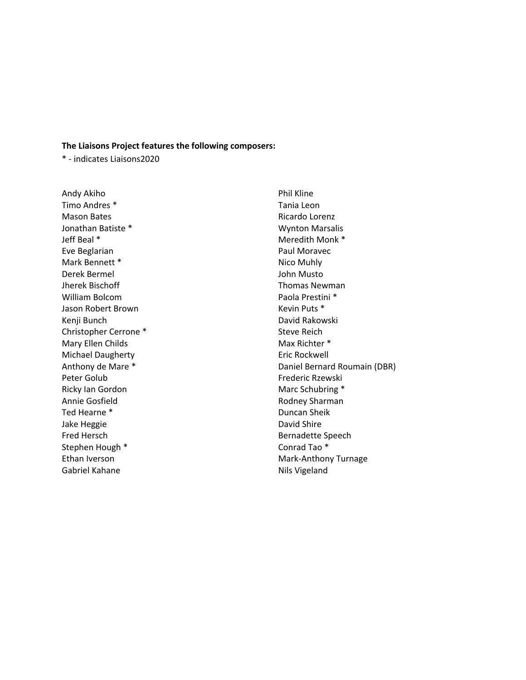#### **The Liaisons Project features the following composers:**

\* - indicates Liaisons2020

Andy Akiho Timo Andres \* Mason Bates Jonathan Batiste \* Jeff Beal \* Eve Beglarian Mark Bennett \* Derek Bermel Jherek Bischoff William Bolcom Jason Robert Brown Kenji Bunch Christopher Cerrone \* Mary Ellen Childs Michael Daugherty Anthony de Mare \* Peter Golub Ricky Ian Gordon Annie Gosfield Ted Hearne \* Jake Heggie Fred Hersch Stephen Hough \* Ethan Iverson Gabriel Kahane

Phil Kline Tania Leon Ricardo Lorenz Wynton Marsalis Meredith Monk \* Paul Moravec Nico Muhly John Musto Thomas Newman Paola Prestini \* Kevin Puts \* David Rakowski Steve Reich Max Richter \* Eric Rockwell Daniel Bernard Roumain (DBR) Frederic Rzewski Marc Schubring \* Rodney Sharman Duncan Sheik David Shire Bernadette Speech Conrad Tao \* Mark-Anthony Turnage Nils Vigeland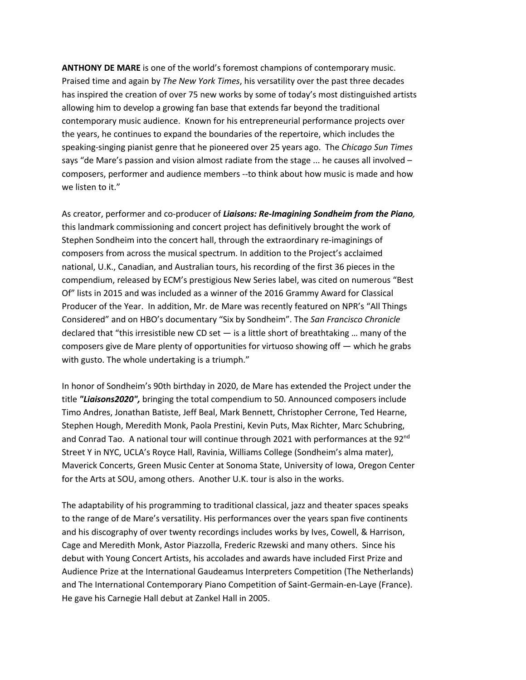**ANTHONY DE MARE** is one of the world's foremost champions of contemporary music. Praised time and again by *The New York Times*, his versatility over the past three decades has inspired the creation of over 75 new works by some of today's most distinguished artists allowing him to develop a growing fan base that extends far beyond the traditional contemporary music audience. Known for his entrepreneurial performance projects over the years, he continues to expand the boundaries of the repertoire, which includes the speaking-singing pianist genre that he pioneered over 25 years ago. The *Chicago Sun Times* says "de Mare's passion and vision almost radiate from the stage ... he causes all involved composers, performer and audience members --to think about how music is made and how we listen to it."

As creator, performer and co-producer of *Liaisons: Re-Imagining Sondheim from the Piano,*  this landmark commissioning and concert project has definitively brought the work of Stephen Sondheim into the concert hall, through the extraordinary re-imaginings of composers from across the musical spectrum. In addition to the Project's acclaimed national, U.K., Canadian, and Australian tours, his recording of the first 36 pieces in the compendium, released by ECM's prestigious New Series label, was cited on numerous "Best Of" lists in 2015 and was included as a winner of the 2016 Grammy Award for Classical Producer of the Year. In addition, Mr. de Mare was recently featured on NPR's "All Things Considered" and on HBO's documentary "Six by Sondheim". The *San Francisco Chronicle* declared that "this irresistible new CD set  $-$  is a little short of breathtaking ... many of the composers give de Mare plenty of opportunities for virtuoso showing off — which he grabs with gusto. The whole undertaking is a triumph."

In honor of Sondheim's 90th birthday in 2020, de Mare has extended the Project under the title *"Liaisons2020",* bringing the total compendium to 50. Announced composers include Timo Andres, Jonathan Batiste, Jeff Beal, Mark Bennett, Christopher Cerrone, Ted Hearne, Stephen Hough, Meredith Monk, Paola Prestini, Kevin Puts, Max Richter, Marc Schubring, and Conrad Tao. A national tour will continue through 2021 with performances at the  $92<sup>nd</sup>$ Street Y in NYC, UCLA's Royce Hall, Ravinia, Williams College (Sondheim's alma mater), Maverick Concerts, Green Music Center at Sonoma State, University of Iowa, Oregon Center for the Arts at SOU, among others. Another U.K. tour is also in the works.

The adaptability of his programming to traditional classical, jazz and theater spaces speaks to the range of de Mare's versatility. His performances over the years span five continents and his discography of over twenty recordings includes works by Ives, Cowell, & Harrison, Cage and Meredith Monk, Astor Piazzolla, Frederic Rzewski and many others. Since his debut with Young Concert Artists, his accolades and awards have included First Prize and Audience Prize at the International Gaudeamus Interpreters Competition (The Netherlands) and The International Contemporary Piano Competition of Saint-Germain-en-Laye (France). He gave his Carnegie Hall debut at Zankel Hall in 2005.